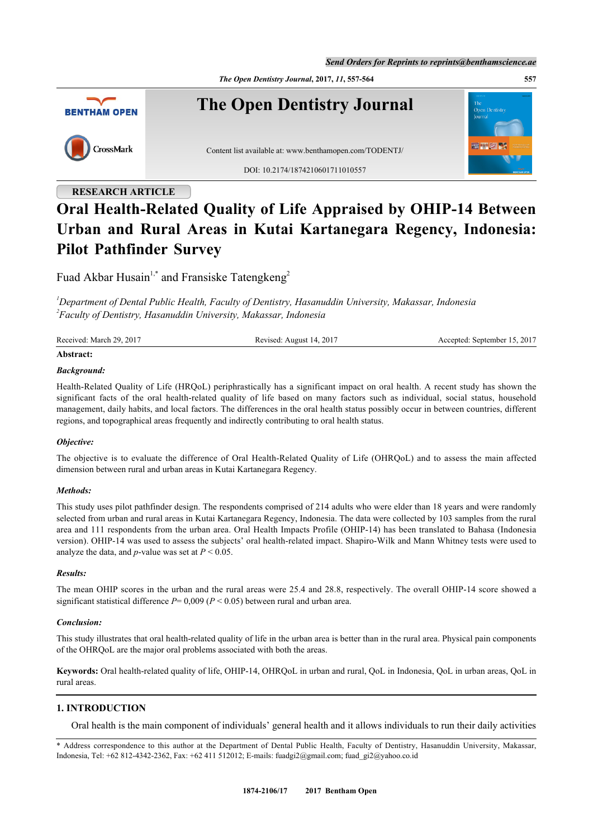*Send Orders for Reprints to reprints@benthamscience.ae*

*The Open Dentistry Journal***, 2017,** *11***, 557-564 557**



# **RESEARCH ARTICLE Oral Health-Related Quality of Life Appraised by OHIP-14 Between Urban and Rural Areas in Kutai Kartanegara Regency, Indonesia: Pilot Pathfinder Survey**

Fuad Akbar Husain<sup>[1,](#page-0-0)[\\*](#page-0-1)</sup> and Fransiske Tatengkeng<sup>[2](#page-0-2)</sup>

<span id="page-0-2"></span><span id="page-0-0"></span>*<sup>1</sup>Department of Dental Public Health, Faculty of Dentistry, Hasanuddin University, Makassar, Indonesia 2 Faculty of Dentistry, Hasanuddin University, Makassar, Indonesia*

| Received: March 29, 2017 | Revised: August 14, 2017 | Accepted: September 15, 2017 |
|--------------------------|--------------------------|------------------------------|
| $\cdots$                 |                          |                              |

# **Abstract:**

# *Background:*

Health-Related Quality of Life (HRQoL) periphrastically has a significant impact on oral health. A recent study has shown the significant facts of the oral health-related quality of life based on many factors such as individual, social status, household management, daily habits, and local factors. The differences in the oral health status possibly occur in between countries, different regions, and topographical areas frequently and indirectly contributing to oral health status.

# *Objective:*

The objective is to evaluate the difference of Oral Health-Related Quality of Life (OHRQoL) and to assess the main affected dimension between rural and urban areas in Kutai Kartanegara Regency.

# *Methods:*

This study uses pilot pathfinder design. The respondents comprised of 214 adults who were elder than 18 years and were randomly selected from urban and rural areas in Kutai Kartanegara Regency, Indonesia. The data were collected by 103 samples from the rural area and 111 respondents from the urban area. Oral Health Impacts Profile (OHIP-14) has been translated to Bahasa (Indonesia version). OHIP-14 was used to assess the subjects' oral health-related impact. Shapiro-Wilk and Mann Whitney tests were used to analyze the data, and *p*-value was set at  $P < 0.05$ .

# *Results:*

The mean OHIP scores in the urban and the rural areas were 25.4 and 28.8, respectively. The overall OHIP-14 score showed a significant statistical difference  $P = 0.009$  ( $P < 0.05$ ) between rural and urban area.

# *Conclusion:*

This study illustrates that oral health-related quality of life in the urban area is better than in the rural area. Physical pain components of the OHRQoL are the major oral problems associated with both the areas.

**Keywords:** Oral health-related quality of life, OHIP-14, OHRQoL in urban and rural, QoL in Indonesia, QoL in urban areas, QoL in rural areas.

# **1. INTRODUCTION**

Oral health is the main component of individuals' general health and it allows individuals to run their daily activities

<span id="page-0-1"></span>\* Address correspondence to this author at the Department of Dental Public Health, Faculty of Dentistry, Hasanuddin University, Makassar, Indonesia, Tel: +62 812-4342-2362, Fax: +62 411 512012; E-mails: [fuadgi2@gmail.com](mailto:fuadgi2@gmail.com); [fuad\\_gi2@yahoo.co.id](mailto:fuad_gi2@yahoo.co.id)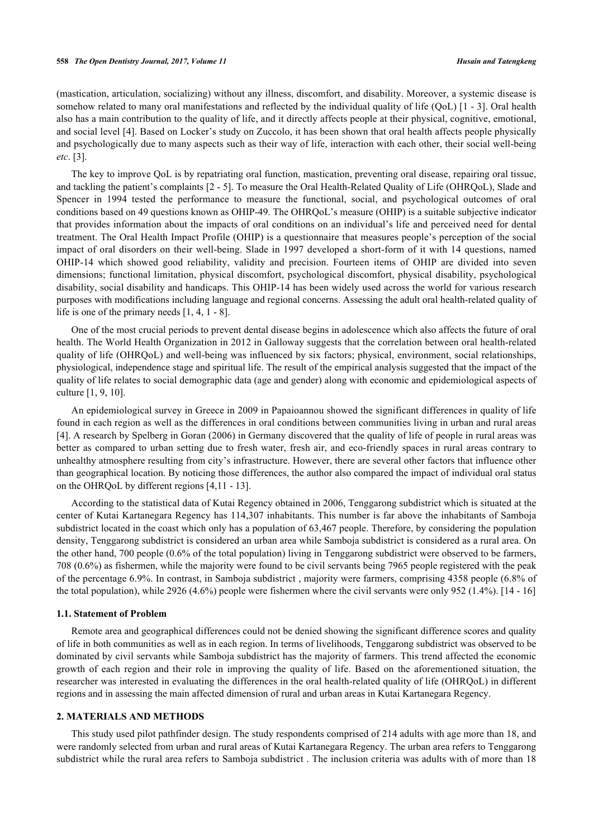(mastication, articulation, socializing) without any illness, discomfort, and disability. Moreover, a systemic disease is somehow related to many oral manifestations and reflected by the individual quality of life (OoL) [[1](#page-6-0) - [3](#page-6-1)]. Oral health also has a main contribution to the quality of life, and it directly affects people at their physical, cognitive, emotional, and social level [[4\]](#page-6-2). Based on Locker's study on Zuccolo, it has been shown that oral health affects people physically and psychologically due to many aspects such as their way of life, interaction with each other, their social well-being *etc*. [[3\]](#page-6-1).

The key to improve QoL is by repatriating oral function, mastication, preventing oral disease, repairing oral tissue, and tackling the patient's complaints [\[2](#page-6-3) - [5\]](#page-6-4). To measure the Oral Health-Related Quality of Life (OHRQoL), Slade and Spencer in 1994 tested the performance to measure the functional, social, and psychological outcomes of oral conditions based on 49 questions known as OHIP-49. The OHRQoL's measure (OHIP) is a suitable subjective indicator that provides information about the impacts of oral conditions on an individual's life and perceived need for dental treatment. The Oral Health Impact Profile (OHIP) is a questionnaire that measures people's perception of the social impact of oral disorders on their well-being. Slade in 1997 developed a short-form of it with 14 questions, named OHIP-14 which showed good reliability, validity and precision. Fourteen items of OHIP are divided into seven dimensions; functional limitation, physical discomfort, psychological discomfort, physical disability, psychological disability, social disability and handicaps. This OHIP-14 has been widely used across the world for various research purposes with modifications including language and regional concerns. Assessing the adult oral health-related quality of life is one of the primary needs [[1,](#page-6-0) [4,](#page-6-2) [1](#page-6-0) - [8](#page-6-5)].

One of the most crucial periods to prevent dental disease begins in adolescence which also affects the future of oral health. The World Health Organization in 2012 in Galloway suggests that the correlation between oral health-related quality of life (OHRQoL) and well-being was influenced by six factors; physical, environment, social relationships, physiological, independence stage and spiritual life. The result of the empirical analysis suggested that the impact of the quality of life relates to social demographic data (age and gender) along with economic and epidemiological aspects of culture [\[1](#page-6-0), [9](#page-6-6), [10](#page-6-7)].

An epidemiological survey in Greece in 2009 in Papaioannou showed the significant differences in quality of life found in each region as well as the differences in oral conditions between communities living in urban and rural areas [\[4](#page-6-2)]. A research by Spelberg in Goran (2006) in Germany discovered that the quality of life of people in rural areas was better as compared to urban setting due to fresh water, fresh air, and eco-friendly spaces in rural areas contrary to unhealthy atmosphere resulting from city's infrastructure. However, there are several other factors that influence other than geographical location. By noticing those differences, the author also compared the impact of individual oral status on the OHRQoL by different regions [[4,](#page-6-2)[11](#page-6-8) - [13](#page-7-0)].

According to the statistical data of Kutai Regency obtained in 2006, Tenggarong subdistrict which is situated at the center of Kutai Kartanegara Regency has 114,307 inhabitants. This number is far above the inhabitants of Samboja subdistrict located in the coast which only has a population of 63,467 people. Therefore, by considering the population density, Tenggarong subdistrict is considered an urban area while Samboja subdistrict is considered as a rural area. On the other hand, 700 people (0.6% of the total population) living in Tenggarong subdistrict were observed to be farmers, 708 (0.6%) as fishermen, while the majority were found to be civil servants being 7965 people registered with the peak of the percentage 6.9%. In contrast, in Samboja subdistrict , majority were farmers, comprising 4358 people (6.8% of the total population), while 2926 (4.6%) people were fishermen where the civil servants were only 952 (1.4%). [\[14](#page-7-1) - [16\]](#page-7-2)

## **1.1. Statement of Problem**

Remote area and geographical differences could not be denied showing the significant difference scores and quality of life in both communities as well as in each region. In terms of livelihoods, Tenggarong subdistrict was observed to be dominated by civil servants while Samboja subdistrict has the majority of farmers. This trend affected the economic growth of each region and their role in improving the quality of life. Based on the aforementioned situation, the researcher was interested in evaluating the differences in the oral health-related quality of life (OHRQoL) in different regions and in assessing the main affected dimension of rural and urban areas in Kutai Kartanegara Regency.

# **2. MATERIALS AND METHODS**

This study used pilot pathfinder design. The study respondents comprised of 214 adults with age more than 18, and were randomly selected from urban and rural areas of Kutai Kartanegara Regency. The urban area refers to Tenggarong subdistrict while the rural area refers to Samboja subdistrict . The inclusion criteria was adults with of more than 18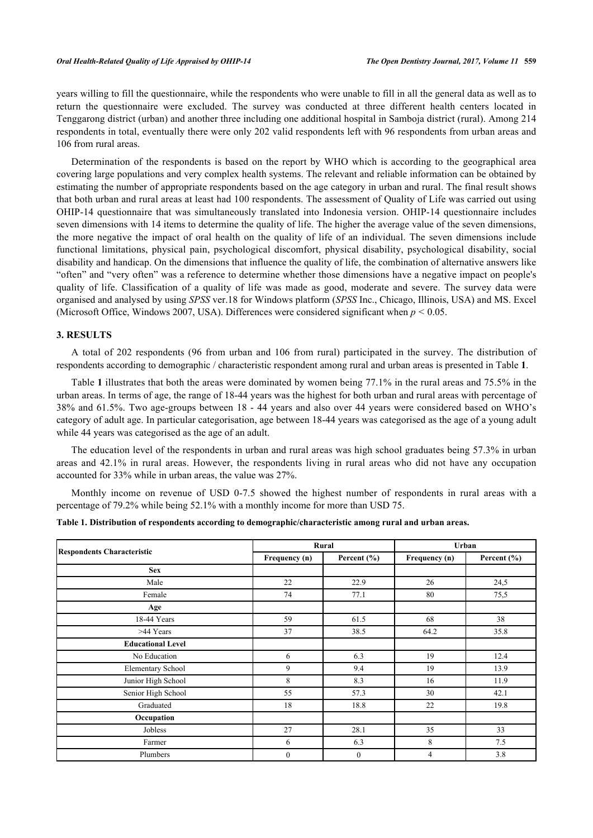years willing to fill the questionnaire, while the respondents who were unable to fill in all the general data as well as to return the questionnaire were excluded. The survey was conducted at three different health centers located in Tenggarong district (urban) and another three including one additional hospital in Samboja district (rural). Among 214 respondents in total, eventually there were only 202 valid respondents left with 96 respondents from urban areas and 106 from rural areas.

Determination of the respondents is based on the report by WHO which is according to the geographical area covering large populations and very complex health systems. The relevant and reliable information can be obtained by estimating the number of appropriate respondents based on the age category in urban and rural. The final result shows that both urban and rural areas at least had 100 respondents. The assessment of Quality of Life was carried out using OHIP-14 questionnaire that was simultaneously translated into Indonesia version. OHIP-14 questionnaire includes seven dimensions with 14 items to determine the quality of life. The higher the average value of the seven dimensions, the more negative the impact of oral health on the quality of life of an individual. The seven dimensions include functional limitations, physical pain, psychological discomfort, physical disability, psychological disability, social disability and handicap. On the dimensions that influence the quality of life, the combination of alternative answers like "often" and "very often" was a reference to determine whether those dimensions have a negative impact on people's quality of life. Classification of a quality of life was made as good, moderate and severe. The survey data were organised and analysed by using *SPSS* ver.18 for Windows platform (*SPSS* Inc., Chicago, Illinois, USA) and MS. Excel (Microsoft Office, Windows 2007, USA). Differences were considered significant when *p <* 0.05.

#### **3. RESULTS**

A total of 202 respondents (96 from urban and 106 from rural) participated in the survey. The distribution of respondents according to demographic / characteristic respondent among rural and urban areas is presented in Table **[1](#page-2-0)**.

Table **[1](#page-2-0)** illustrates that both the areas were dominated by women being 77.1% in the rural areas and 75.5% in the urban areas. In terms of age, the range of 18-44 years was the highest for both urban and rural areas with percentage of 38% and 61.5%. Two age-groups between [18](#page-7-3) - [44](#page--1-0) years and also over 44 years were considered based on WHO's category of adult age. In particular categorisation, age between 18-44 years was categorised as the age of a young adult while 44 years was categorised as the age of an adult.

The education level of the respondents in urban and rural areas was high school graduates being 57.3% in urban areas and 42.1% in rural areas. However, the respondents living in rural areas who did not have any occupation accounted for 33% while in urban areas, the value was 27%.

Monthly income on revenue of USD 0-7.5 showed the highest number of respondents in rural areas with a percentage of 79.2% while being 52.1% with a monthly income for more than USD 75.

|                                   |               | Rural           | Urban         |                 |
|-----------------------------------|---------------|-----------------|---------------|-----------------|
| <b>Respondents Characteristic</b> | Frequency (n) | Percent $(\% )$ | Frequency (n) | Percent $(\% )$ |
| <b>Sex</b>                        |               |                 |               |                 |
| Male                              | 22            | 22.9            | 26            | 24,5            |
| Female                            | 74            | 77.1            | 80            | 75,5            |
| Age                               |               |                 |               |                 |
| 18-44 Years                       | 59            | 61.5            | 68            | 38              |
| >44 Years                         | 37            | 38.5            | 64.2          | 35.8            |
| <b>Educational Level</b>          |               |                 |               |                 |
| No Education                      | 6             | 6.3             | 19            | 12.4            |
| <b>Elementary School</b>          | 9             | 9.4             | 19            | 13.9            |
| Junior High School                | 8             | 8.3             | 16            | 11.9            |
| Senior High School                | 55            | 57.3            | 30            | 42.1            |
| Graduated                         | 18            | 18.8            | 22            | 19.8            |
| Occupation                        |               |                 |               |                 |
| Jobless                           | 27            | 28.1            | 35            | 33              |
| Farmer                            | 6             | 6.3             | 8             | 7.5             |
| Plumbers                          | $\mathbf{0}$  | $\mathbf{0}$    | 4             | 3.8             |

<span id="page-2-0"></span>**Table 1. Distribution of respondents according to demographic/characteristic among rural and urban areas.**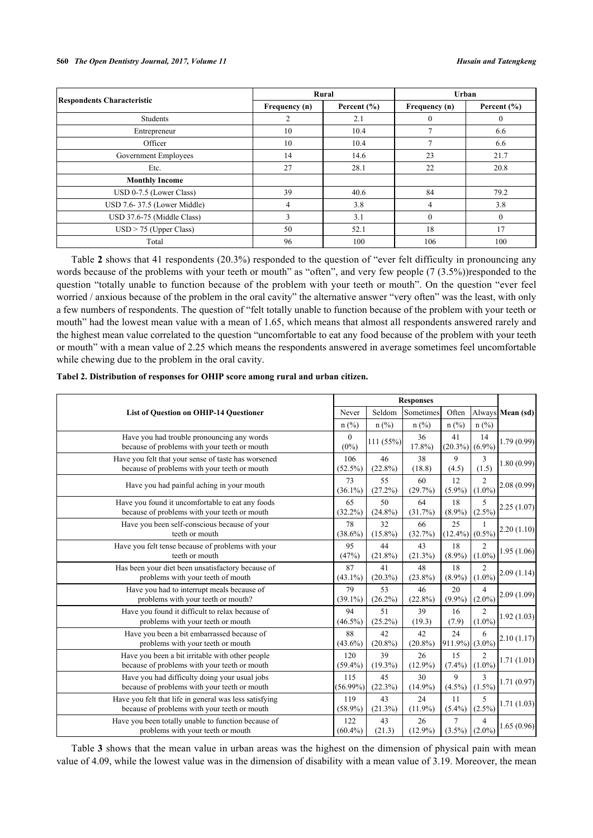#### **560** *The Open Dentistry Journal, 2017, Volume 11 Husain and Tatengkeng*

|                                   |                | Rural           | Urban          |                 |  |
|-----------------------------------|----------------|-----------------|----------------|-----------------|--|
| <b>Respondents Characteristic</b> | Frequency (n)  | Percent $(\% )$ | Frequency (n)  | Percent $(\% )$ |  |
| Students                          | $\overline{c}$ | 2.1             | $\theta$       | $\Omega$        |  |
| Entrepreneur                      | 10             | 10.4            | $\overline{7}$ | 6.6             |  |
| Officer                           | 10             | 10.4            | σ              | 6.6             |  |
| Government Employees              | 14             | 14.6            | 23             | 21.7            |  |
| Etc.                              | 27             | 28.1            | 22             | 20.8            |  |
| <b>Monthly Income</b>             |                |                 |                |                 |  |
| USD 0-7.5 (Lower Class)           | 39             | 40.6            | 84             | 79.2            |  |
| USD 7.6-37.5 (Lower Middle)       | 4              | 3.8             | $\overline{4}$ | 3.8             |  |
| USD 37.6-75 (Middle Class)        | 3              | 3.1             | $\theta$       | $\Omega$        |  |
| $USD > 75$ (Upper Class)          | 50             | 52.1            | 18             | 17              |  |
| Total                             | 96             | 100             | 106            | 100             |  |

Table **[2](#page-3-0)** shows that 41 respondents (20.3%) responded to the question of "ever felt difficulty in pronouncing any words because of the problems with your teeth or mouth" as "often", and very few people (7 (3.5%))responded to the question "totally unable to function because of the problem with your teeth or mouth". On the question "ever feel worried / anxious because of the problem in the oral cavity" the alternative answer "very often" was the least, with only a few numbers of respondents. The question of "felt totally unable to function because of the problem with your teeth or mouth" had the lowest mean value with a mean of 1.65, which means that almost all respondents answered rarely and the highest mean value correlated to the question "uncomfortable to eat any food because of the problem with your teeth or mouth" with a mean value of 2.25 which means the respondents answered in average sometimes feel uncomfortable while chewing due to the problem in the oral cavity.

| <b>List of Question on OHIP-14 Questioner</b>                                                          |                     | <b>Responses</b> |                  |                             |                                       |                       |
|--------------------------------------------------------------------------------------------------------|---------------------|------------------|------------------|-----------------------------|---------------------------------------|-----------------------|
|                                                                                                        |                     | Seldom           | Sometimes        | Often                       |                                       | Always Mean (sd)      |
|                                                                                                        |                     | $n$ (%)          | n(%)             | $n$ (%)                     | $n$ (%)                               |                       |
| Have you had trouble pronouncing any words<br>because of problems with your teeth or mouth             | $\left($<br>$(0\%)$ | 111(55%)         | 36<br>17.8%      | 41<br>$(20.3\%)$ (6.9%)     | 14                                    | 1.79(0.99)            |
| Have you felt that your sense of taste has worsened<br>because of problems with your teeth or mouth    | 106<br>$(52.5\%)$   | 46<br>$(22.8\%)$ | 38<br>(18.8)     | 9<br>(4.5)                  | 3<br>(1.5)                            | 1.80(0.99)            |
| Have you had painful aching in your mouth                                                              | 73<br>$(36.1\%)$    | 55<br>(27.2%)    | 60<br>(29.7%)    | 12<br>$(5.9\%)$             | $\mathfrak{D}$<br>$(1.0\%)$           | 2.08(0.99)            |
| Have you found it uncomfortable to eat any foods<br>because of problems with your teeth or mouth       | 65<br>$(32.2\%)$    | 50<br>$(24.8\%)$ | 64<br>(31.7%)    | 18<br>$(8.9\%)$             | 5<br>$(2.5\%)$                        | 2.25(1.07)            |
| Have you been self-conscious because of your<br>teeth or mouth                                         | 78<br>$(38.6\%)$    | 32<br>$(15.8\%)$ | 66<br>(32.7%)    | 25<br>$(12.4\%)$ (0.5%)     |                                       | [2.20(1.10)]          |
| Have you felt tense because of problems with your<br>teeth or mouth                                    | 95<br>(47%)         | 44<br>$(21.8\%)$ | 43<br>$(21.3\%)$ | 18<br>$(8.9\%)$             | $\mathfrak{D}$<br>$(1.0\%)$           | 1.95(1.06)            |
| Has been your diet been unsatisfactory because of<br>problems with your teeth of mouth                 | 87<br>$(43.1\%)$    | 41<br>$(20.3\%)$ | 48<br>$(23.8\%)$ | 18<br>$(8.9\%)$             | $\overline{c}$                        | $(1.0\%)$ 2.09 (1.14) |
| Have you had to interrupt meals because of<br>problems with your teeth or mouth?                       | 79<br>$(39.1\%)$    | 53<br>$(26.2\%)$ | 46<br>$(22.8\%)$ | 20<br>$(9.9\%)$             | 4<br>$(2.0\%)$                        | 2.09(1.09)            |
| Have you found it difficult to relax because of<br>problems with your teeth or mouth                   | 94<br>$(46.5\%)$    | 51<br>$(25.2\%)$ | 39<br>(19.3)     | 16<br>(7.9)                 | $\mathfrak{D}$<br>$(1.0\%)$           | 1.92(1.03)            |
| Have you been a bit embarrassed because of<br>problems with your teeth or mouth                        | 88<br>$(43.6\%)$    | 42<br>$(20.8\%)$ | 42<br>$(20.8\%)$ | 24<br>$911.9\%) (3.0\%)$    | 6                                     | 2.10(1.17)            |
| Have you been a bit irritable with other people<br>because of problems with your teeth or mouth        | 120<br>$(59.4\%)$   | 39<br>$(19.3\%)$ | 26<br>$(12.9\%)$ | 15<br>$(7.4\%)$             | $\overline{c}$<br>$(1.0\%)$           | 1.71(1.01)            |
| Have you had difficulty doing your usual jobs<br>because of problems with your teeth or mouth          | 115<br>$(56.99\%)$  | 45<br>(22.3%)    | 30<br>$(14.9\%)$ | 9<br>$(4.5\%)$              | $\mathcal{E}$<br>$(1.5\%)$            | 1.71(0.97)            |
| Have you felt that life in general was less satisfying<br>because of problems with your teeth or mouth | 119<br>$(58.9\%)$   | 43<br>(21.3%)    | 24<br>$(11.9\%)$ | 11<br>$(5.4\%)$             | $\overline{\phantom{0}}$<br>$(2.5\%)$ | 1.71(1.03)            |
| Have you been totally unable to function because of<br>problems with your teeth or mouth               | 122<br>$(60.4\%)$   | 43<br>(21.3)     | 26<br>$(12.9\%)$ | $\tau$<br>$(3.5\%) (2.0\%)$ | 4                                     | 1.65(0.96)            |

<span id="page-3-0"></span>**Tabel 2. Distribution of responses for OHIP score among rural and urban citizen.**

Table **[3](#page-4-0)** shows that the mean value in urban areas was the highest on the dimension of physical pain with mean value of 4.09, while the lowest value was in the dimension of disability with a mean value of 3.19. Moreover, the mean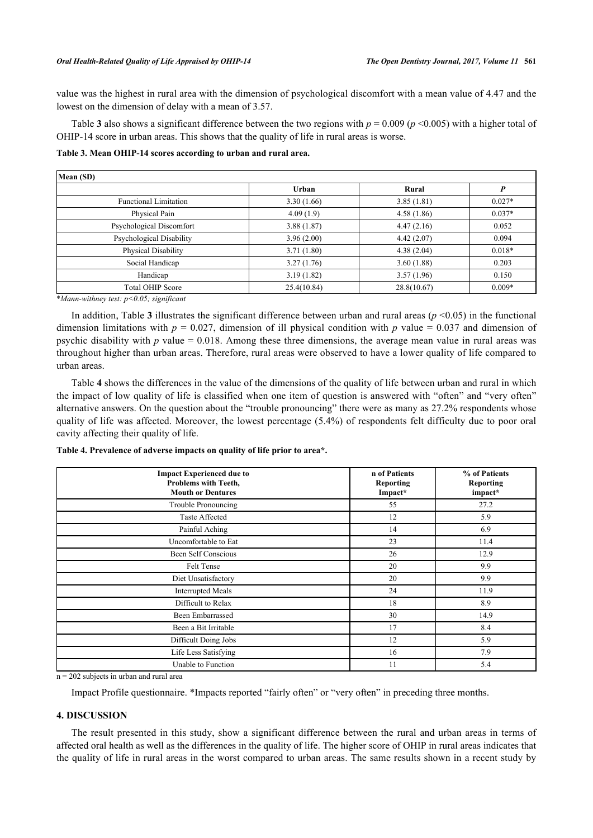value was the highest in rural area with the dimension of psychological discomfort with a mean value of 4.47 and the lowest on the dimension of delay with a mean of 3.57.

Table **[3](#page-4-0)** also shows a significant difference between the two regions with  $p = 0.009$  ( $p \le 0.005$ ) with a higher total of OHIP-14 score in urban areas. This shows that the quality of life in rural areas is worse.

<span id="page-4-0"></span>**Table 3. Mean OHIP-14 scores according to urban and rural area.**

| Mean (SD)                    |              |             |          |  |  |
|------------------------------|--------------|-------------|----------|--|--|
|                              | <b>Urban</b> | Rural       |          |  |  |
| <b>Functional Limitation</b> | 3.30(1.66)   | 3.85(1.81)  | $0.027*$ |  |  |
| Physical Pain                | 4.09(1.9)    | 4.58(1.86)  | $0.037*$ |  |  |
| Psychological Discomfort     | 3.88(1.87)   | 4.47(2.16)  | 0.052    |  |  |
| Psychological Disability     | 3.96(2.00)   | 4.42(2.07)  | 0.094    |  |  |
| Physical Disability          | 3.71(1.80)   | 4.38(2.04)  | $0.018*$ |  |  |
| Social Handicap              | 3.27(1.76)   | 3.60(1.88)  | 0.203    |  |  |
| Handicap                     | 3.19(1.82)   | 3.57(1.96)  | 0.150    |  |  |
| <b>Total OHIP Score</b>      | 25.4(10.84)  | 28.8(10.67) | $0.009*$ |  |  |

\**Mann-withney test: p<0.05; significant*

In addition, Table **[3](#page-4-0)** illustrates the significant difference between urban and rural areas ( $p \le 0.05$ ) in the functional dimension limitations with  $p = 0.027$ , dimension of ill physical condition with *p* value = 0.037 and dimension of psychic disability with *p* value = 0.018. Among these three dimensions, the average mean value in rural areas was throughout higher than urban areas. Therefore, rural areas were observed to have a lower quality of life compared to urban areas.

Table **[4](#page-4-1)** shows the differences in the value of the dimensions of the quality of life between urban and rural in which the impact of low quality of life is classified when one item of question is answered with "often" and "very often" alternative answers. On the question about the "trouble pronouncing" there were as many as 27.2% respondents whose quality of life was affected. Moreover, the lowest percentage (5.4%) of respondents felt difficulty due to poor oral cavity affecting their quality of life.

<span id="page-4-1"></span>

| Table 4. Prevalence of adverse impacts on quality of life prior to area*. |  |  |  |
|---------------------------------------------------------------------------|--|--|--|
|---------------------------------------------------------------------------|--|--|--|

| <b>Impact Experienced due to</b><br><b>Problems with Teeth,</b><br><b>Mouth or Dentures</b> | n of Patients<br><b>Reporting</b><br>Impact* | % of Patients<br><b>Reporting</b><br>impact* |
|---------------------------------------------------------------------------------------------|----------------------------------------------|----------------------------------------------|
| Trouble Pronouncing                                                                         | 55                                           | 27.2                                         |
| <b>Taste Affected</b>                                                                       | 12                                           | 5.9                                          |
| Painful Aching                                                                              | 14                                           | 6.9                                          |
| Uncomfortable to Eat                                                                        | 23                                           | 11.4                                         |
| Been Self Conscious                                                                         | 26                                           | 12.9                                         |
| Felt Tense                                                                                  | 20                                           | 9.9                                          |
| Diet Unsatisfactory                                                                         | 20                                           | 9.9                                          |
| <b>Interrupted Meals</b>                                                                    | 24                                           | 11.9                                         |
| Difficult to Relax                                                                          | 18                                           | 8.9                                          |
| <b>Been Embarrassed</b>                                                                     | 30                                           | 14.9                                         |
| Been a Bit Irritable                                                                        | 17                                           | 8.4                                          |
| Difficult Doing Jobs                                                                        | 12                                           | 5.9                                          |
| Life Less Satisfying                                                                        | 16                                           | 7.9                                          |
| Unable to Function                                                                          | 11                                           | 5.4                                          |

 $n = 202$  subjects in urban and rural area

Impact Profile questionnaire. \*Impacts reported "fairly often" or "very often" in preceding three months.

# **4. DISCUSSION**

The result presented in this study, show a significant difference between the rural and urban areas in terms of affected oral health as well as the differences in the quality of life. The higher score of OHIP in rural areas indicates that the quality of life in rural areas in the worst compared to urban areas. The same results shown in a recent study by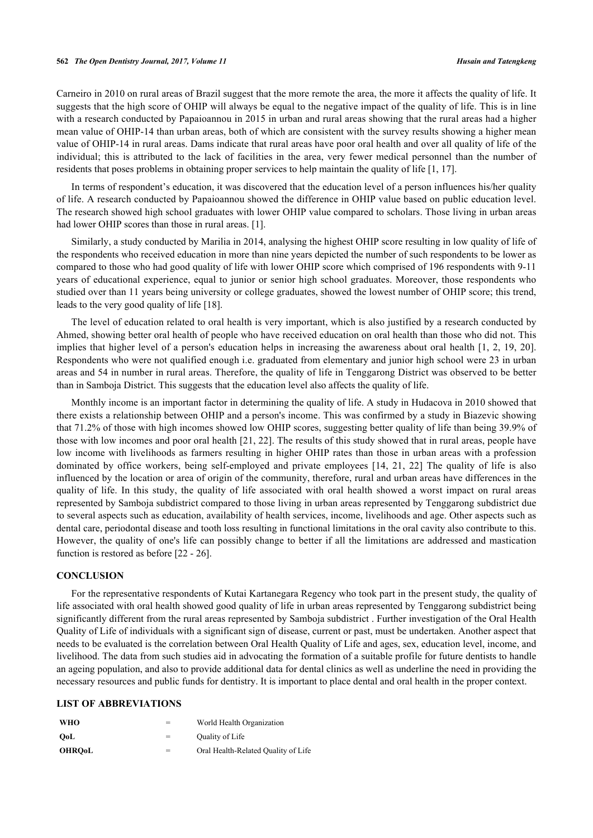#### **562** *The Open Dentistry Journal, 2017, Volume 11 Husain and Tatengkeng*

Carneiro in 2010 on rural areas of Brazil suggest that the more remote the area, the more it affects the quality of life. It suggests that the high score of OHIP will always be equal to the negative impact of the quality of life. This is in line with a research conducted by Papaioannou in 2015 in urban and rural areas showing that the rural areas had a higher mean value of OHIP-14 than urban areas, both of which are consistent with the survey results showing a higher mean value of OHIP-14 in rural areas. Dams indicate that rural areas have poor oral health and over all quality of life of the individual; this is attributed to the lack of facilities in the area, very fewer medical personnel than the number of residents that poses problems in obtaining proper services to help maintain the quality of life [\[1](#page-6-0), [17](#page-7-4)].

In terms of respondent's education, it was discovered that the education level of a person influences his/her quality of life. A research conducted by Papaioannou showed the difference in OHIP value based on public education level. The research showed high school graduates with lower OHIP value compared to scholars. Those living in urban areas had lower OHIP scores than those in rural areas. [\[1](#page-6-0)].

Similarly, a study conducted by Marilia in 2014, analysing the highest OHIP score resulting in low quality of life of the respondents who received education in more than nine years depicted the number of such respondents to be lower as compared to those who had good quality of life with lower OHIP score which comprised of 196 respondents with 9-11 years of educational experience, equal to junior or senior high school graduates. Moreover, those respondents who studied over than 11 years being university or college graduates, showed the lowest number of OHIP score; this trend, leads to the very good quality of life [[18\]](#page-7-3).

The level of education related to oral health is very important, which is also justified by a research conducted by Ahmed, showing better oral health of people who have received education on oral health than those who did not. This implies that higher level of a person's education helps in increasing the awareness about oral health [[1,](#page-6-0) [2](#page-6-3), [19](#page-7-5), [20\]](#page-7-6). Respondents who were not qualified enough i.e. graduated from elementary and junior high school were 23 in urban areas and 54 in number in rural areas. Therefore, the quality of life in Tenggarong District was observed to be better than in Samboja District. This suggests that the education level also affects the quality of life.

Monthly income is an important factor in determining the quality of life. A study in Hudacova in 2010 showed that there exists a relationship between OHIP and a person's income. This was confirmed by a study in Biazevic showing that 71.2% of those with high incomes showed low OHIP scores, suggesting better quality of life than being 39.9% of those with low incomes and poor oral health [[21](#page-7-7), [22\]](#page-7-8). The results of this study showed that in rural areas, people have low income with livelihoods as farmers resulting in higher OHIP rates than those in urban areas with a profession dominated by office workers, being self-employed and private employees [\[14](#page-7-1), [21](#page-7-7), [22](#page-7-8)] The quality of life is also influenced by the location or area of origin of the community, therefore, rural and urban areas have differences in the quality of life. In this study, the quality of life associated with oral health showed a worst impact on rural areas represented by Samboja subdistrict compared to those living in urban areas represented by Tenggarong subdistrict due to several aspects such as education, availability of health services, income, livelihoods and age. Other aspects such as dental care, periodontal disease and tooth loss resulting in functional limitations in the oral cavity also contribute to this. However, the quality of one's life can possibly change to better if all the limitations are addressed and mastication function is restored as before [[22](#page-7-8) - [26\]](#page-7-9).

# **CONCLUSION**

For the representative respondents of Kutai Kartanegara Regency who took part in the present study, the quality of life associated with oral health showed good quality of life in urban areas represented by Tenggarong subdistrict being significantly different from the rural areas represented by Samboja subdistrict . Further investigation of the Oral Health Quality of Life of individuals with a significant sign of disease, current or past, must be undertaken. Another aspect that needs to be evaluated is the correlation between Oral Health Quality of Life and ages, sex, education level, income, and livelihood. The data from such studies aid in advocating the formation of a suitable profile for future dentists to handle an ageing population, and also to provide additional data for dental clinics as well as underline the need in providing the necessary resources and public funds for dentistry. It is important to place dental and oral health in the proper context.

# **LIST OF ABBREVIATIONS**

| <b>WHO</b>    | =   | World Health Organization           |
|---------------|-----|-------------------------------------|
| OoL           | $=$ | Quality of Life                     |
| <b>OHROoL</b> | $=$ | Oral Health-Related Quality of Life |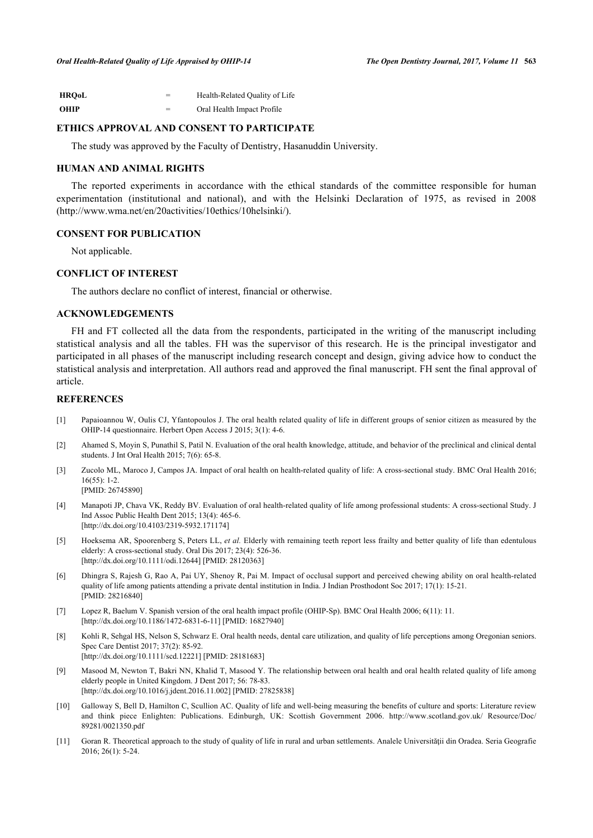| <b>HRO0L</b> | $=$ | Health-Related Quality of Life |
|--------------|-----|--------------------------------|
| <b>OHIP</b>  | $=$ | Oral Health Impact Profile     |

# **ETHICS APPROVAL AND CONSENT TO PARTICIPATE**

The study was approved by the Faculty of Dentistry, Hasanuddin University.

# **HUMAN AND ANIMAL RIGHTS**

The reported experiments in accordance with the ethical standards of the committee responsible for human experimentation (institutional and national), and with the Helsinki Declaration of 1975, as revised in 2008 (http://www.wma.net/en/20activities/10ethics/10helsinki/).

# **CONSENT FOR PUBLICATION**

Not applicable.

#### **CONFLICT OF INTEREST**

The authors declare no conflict of interest, financial or otherwise.

# **ACKNOWLEDGEMENTS**

FH and FT collected all the data from the respondents, participated in the writing of the manuscript including statistical analysis and all the tables. FH was the supervisor of this research. He is the principal investigator and participated in all phases of the manuscript including research concept and design, giving advice how to conduct the statistical analysis and interpretation. All authors read and approved the final manuscript. FH sent the final approval of article.

#### **REFERENCES**

- <span id="page-6-0"></span>[1] Papaioannou W, Oulis CJ, Yfantopoulos J. The oral health related quality of life in different groups of senior citizen as measured by the OHIP-14 questionnaire. Herbert Open Access J 2015; 3(1): 4-6.
- <span id="page-6-3"></span>[2] Ahamed S, Moyin S, Punathil S, Patil N. Evaluation of the oral health knowledge, attitude, and behavior of the preclinical and clinical dental students. J Int Oral Health 2015; 7(6): 65-8.
- <span id="page-6-1"></span>[3] Zucolo ML, Maroco J, Campos JA. Impact of oral health on health-related quality of life: A cross-sectional study. BMC Oral Health 2016; 16(55): 1-2. [PMID: [26745890\]](http://www.ncbi.nlm.nih.gov/pubmed/26745890)
- <span id="page-6-2"></span>[4] Manapoti JP, Chava VK, Reddy BV. Evaluation of oral health-related quality of life among professional students: A cross-sectional Study. J Ind Assoc Public Health Dent 2015; 13(4): 465-6. [\[http://dx.doi.org/10.4103/2319-5932.171174](http://dx.doi.org/10.4103/2319-5932.171174)]
- <span id="page-6-4"></span>[5] Hoeksema AR, Spoorenberg S, Peters LL, *et al.* Elderly with remaining teeth report less frailty and better quality of life than edentulous elderly: A cross-sectional study. Oral Dis 2017; 23(4): 526-36. [\[http://dx.doi.org/10.1111/odi.12644](http://dx.doi.org/10.1111/odi.12644)] [PMID: [28120363\]](http://www.ncbi.nlm.nih.gov/pubmed/28120363)
- [6] Dhingra S, Rajesh G, Rao A, Pai UY, Shenoy R, Pai M. Impact of occlusal support and perceived chewing ability on oral health-related quality of life among patients attending a private dental institution in India. J Indian Prosthodont Soc 2017; 17(1): 15-21. [PMID: [28216840\]](http://www.ncbi.nlm.nih.gov/pubmed/28216840)
- [7] Lopez R, Baelum V. Spanish version of the oral health impact profile (OHIP-Sp). BMC Oral Health 2006; 6(11): 11. [\[http://dx.doi.org/10.1186/1472-6831-6-11\]](http://dx.doi.org/10.1186/1472-6831-6-11) [PMID: [16827940](http://www.ncbi.nlm.nih.gov/pubmed/16827940)]
- <span id="page-6-5"></span>[8] Kohli R, Sehgal HS, Nelson S, Schwarz E. Oral health needs, dental care utilization, and quality of life perceptions among Oregonian seniors. Spec Care Dentist 2017; 37(2): 85-92. [\[http://dx.doi.org/10.1111/scd.12221](http://dx.doi.org/10.1111/scd.12221)] [PMID: [28181683](http://www.ncbi.nlm.nih.gov/pubmed/28181683)]
- <span id="page-6-6"></span>[9] Masood M, Newton T, Bakri NN, Khalid T, Masood Y. The relationship between oral health and oral health related quality of life among elderly people in United Kingdom. J Dent 2017; 56: 78-83. [\[http://dx.doi.org/10.1016/j.jdent.2016.11.002](http://dx.doi.org/10.1016/j.jdent.2016.11.002)] [PMID: [27825838\]](http://www.ncbi.nlm.nih.gov/pubmed/27825838)
- <span id="page-6-7"></span>[10] Galloway S, Bell D, Hamilton C, Scullion AC. Quality of life and well-being measuring the benefits of culture and sports: Literature review and think piece Enlighten: Publications. Edinburgh, UK: Scottish Government 2006. [http://www.scotland.gov.uk/ Resource/Doc/](http://www.scotland.gov.uk/Resource/Doc/89281/0021350.pdf) [89281/0021350.pdf](http://www.scotland.gov.uk/Resource/Doc/89281/0021350.pdf)
- <span id="page-6-8"></span>[11] Goran R. Theoretical approach to the study of quality of life in rural and urban settlements. Analele Universității din Oradea. Seria Geografie 2016; 26(1): 5-24.